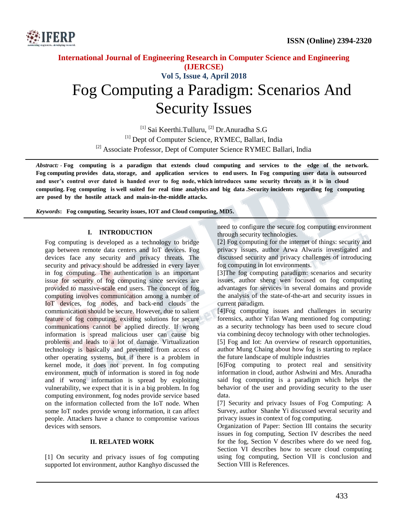

# **International Journal of Engineering Research in Computer Science and Engineering (IJERCSE) Vol 5, Issue 4, April 2018** Fog Computing a Paradigm: Scenarios And Security Issues

<sup>[1]</sup> Sai Keerthi.Tulluru, <sup>[2]</sup> Dr.Anuradha S.G [1] Dept of Computer Science, RYMEC, Ballari, India <sup>[2]</sup> Associate Professor, Dept of Computer Science RYMEC Ballari, India

*Abstract: -* **Fog computing is a paradigm that extends cloud computing and services to the edge of the network. Fog computing provides data, storage, and application services to end users. In Fog computing user data is outsourced and user's control over dated is handed over to fog node, which introduces same security threats as it is in cloud computing. Fog computing is well suited for real time analytics and big data .Security incidents regarding fog computing are posed by the hostile attack and main-in-the-middle attacks.**

*Keywords***: Fog computing, Security issues, IOT and Cloud computing, MD5.** 

#### **I. INTRODUCTION**

Fog computing is developed as a technology to bridge gap between remote data centers and IoT devices. Fog devices face any security and privacy threats. The security and privacy should be addressed in every layer in fog computing. The authentication is an important issue for security of fog computing since services are provided to massive-scale end users. The concept of fog computing involves communication among a number of IoT devices, fog nodes, and back-end clouds the communication should be secure. However, due to salient feature of fog computing, existing solutions for secure communications cannot be applied directly. If wrong information is spread malicious user can cause big problems and leads to a lot of damage. Virtualization technology is basically and prevented from access of other operating systems, but if there is a problem in kernel mode, it does not prevent. In fog computing environment, much of information is stored in fog node and if wrong information is spread by exploiting vulnerability, we expect that it is in a big problem. In fog computing environment, fog nodes provide service based on the information collected from the IoT node. When some IoT nodes provide wrong information, it can affect people. Attackers have a chance to compromise various devices with sensors.

#### **II. RELATED WORK**

[1] On security and privacy issues of fog computing supported Iot environment, author Kanghyo discussed the need to configure the secure fog computing environment through security technologies.

[2] Fog computing for the internet of things: security and privacy issues, author Arwa Alwaris investigated and discussed security and privacy challenges of introducing fog computing in Iot environments.

[3]The fog computing paradigm: scenarios and security issues, author sheng wen focused on fog computing advantages for services in several domains and provide the analysis of the state-of-the-art and security issues in current paradigm.

[4]Fog computing issues and challenges in security forensics, author Yifan Wang mentioned fog computing: as a security technology has been used to secure cloud via combining decoy technology with other technologies.

[5] Fog and Iot: An overview of research opportunities, author Mung Chaing about how fog is starting to replace the future landscape of multiple industries

[6]Fog computing to protect real and sensitivity information in cloud, author Ashwini and Mrs. Anuradha said fog computing is a paradigm which helps the behavior of the user and providing security to the user data.

[7] Security and privacy Issues of Fog Computing: A Survey, author Shanhe Yi discussed several security and privacy issues in context of fog computing.

Organization of Paper: Section III contains the security issues in fog computing, Section IV describes the need for the fog, Section V describes where do we need fog, Section VI describes how to secure cloud computing using fog computing, Section VII is conclusion and Section VIII is References.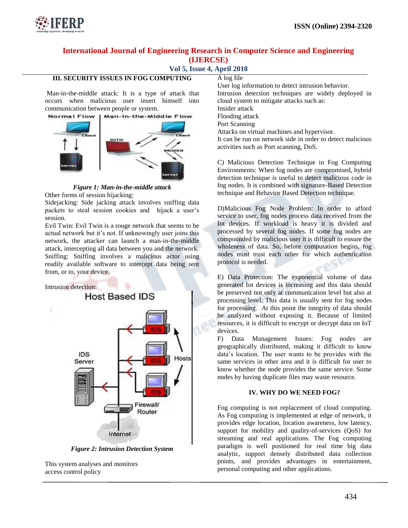

## **Vol 5, Issue 4, April 2018**

### **III. SECURITY ISSUES IN FOG COMPUTING**

Man-in-the-middle attack: It is a type of attack that occurs when malicious user insert himself into communication between people or system.



*Figure 1: Man-in-the-middle attack* Other forms of session hijacking:

Sidejacking: Side jacking attack involves sniffing data packets to steal session cookies and hijack a user"s session.

Evil Twin: Evil Twin is a rouge network that seems to be actual network but it's not. If unknowingly user joins this network, the attacker can launch a man-in-the-middle attack, intercepting all data between you and the network. Sniffing: Sniffing involves a malicious actor using readily available software to intercept data being sent from, or to, your device.

Intrusion detection:



*Figure 2: Intrusion Detection System*

This system analyses and monitors access control policy

A log file User log information to detect intrusion behavior. Intrusion detection techniques are widely deployed in cloud system to mitigate attacks such as: Insider attack Flooding attack Port Scanning Attacks on virtual machines and hypervisor. It can be run on network side in order to detect malicious activities such as Port scanning, DoS.

C) Malicious Detection Technique in Fog Computing Environments: When fog nodes are compromised, hybrid detection technique is useful to detect malicious code in fog nodes. It is combined with signature-Based Detection technique and Behavior Based Detection technique.

D)Malicious Fog Node Problem: In order to afford service to user, fog nodes process data received from the Iot devices. If workload is heavy it is divided and processed by several fog nodes. If some fog nodes are compounded by malicious user it is difficult to ensure the wholeness of data. So, before computation begins, fog nodes must trust each other for which authentication protocol is needed.

E) Data Protection: The exponential volume of data generated Iot devices is increasing and this data should be preserved not only at communication level but also at processing level. This data is usually sent for fog nodes for processing. At this point the integrity of data should be analyzed without exposing it. Because of limited resources, it is difficult to encrypt or decrypt data on IoT devices.

F) Data Management Issues: Fog nodes are geographically distributed, making it difficult to know data"s location. The user wants to be provides with the same services in other area and it is difficult for user to know whether the node provides the same service. Some nodes by having duplicate files may waste resource.

#### **IV. WHY DO WE NEED FOG?**

Fog computing is not replacement of cloud computing. As Fog computing is implemented at edge of network, it provides edge location, location awareness, low latency, support for mobility and quality-of-services (QoS) for streaming and real applications. The Fog computing paradigm is well positioned for real time big data analytic, support densely distributed data collection points, and provides advantages in entertainment, personal computing and other applications.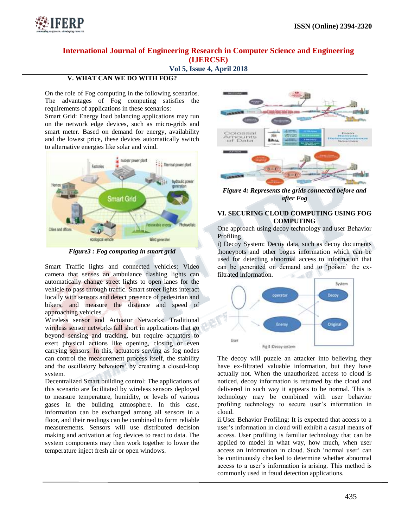

## **Vol 5, Issue 4, April 2018**

### **V. WHAT CAN WE DO WITH FOG?**

On the role of Fog computing in the following scenarios. The advantages of Fog computing satisfies the requirements of applications in these scenarios:

Smart Grid: Energy load balancing applications may run on the network edge devices, such as micro-grids and smart meter. Based on demand for energy, availability and the lowest price, these devices automatically switch to alternative energies like solar and wind.



*Figure3 : Fog computing in smart grid*

Smart Traffic lights and connected vehicles: Video camera that senses an ambulance flashing lights can automatically change street lights to open lanes for the vehicle to pass through traffic. Smart street lights interact locally with sensors and detect presence of pedestrian and bikers, and measure the distance and speed of approaching vehicles.

Wireless sensor and Actuator Networks: Traditional wireless sensor networks fall short in applications that go beyond sensing and tracking, but require actuators to exert physical actions like opening, closing or even carrying sensors. In this, actuators serving as fog nodes can control the measurement process itself, the stability and the oscillatory behaviors" by creating a closed-loop system.

Decentralized Smart building control: The applications of this scenario are facilitated by wireless sensors deployed to measure temperature, humidity, or levels of various gases in the building atmosphere. In this case, information can be exchanged among all sensors in a floor, and their readings can be combined to form reliable measurements. Sensors will use distributed decision making and activation at fog devices to react to data. The system components may then work together to lower the temperature inject fresh air or open windows.



*Figure 4: Represents the grids connected before and after Fog*

#### **VI. SECURING CLOUD COMPUTING USING FOG COMPUTING**

One approach using decoy technology and user Behavior Profiling

i) Decoy System: Decoy data, such as decoy documents ,honeypots and other bogus information which can be used for detecting abnormal access to information that can be generated on demand and to "poison" the exfiltrated information.



The decoy will puzzle an attacker into believing they have ex-filtrated valuable information, but they have actually not. When the unauthorized access to cloud is noticed, decoy information is returned by the cloud and delivered in such way it appears to be normal. This is technology may be combined with user behavior profiling technology to secure user"s information in cloud.

ii.User Behavior Profiling: It is expected that access to a user's information in cloud will exhibit a casual means of access. User profiling is familiar technology that can be applied to model in what way, how much, when user access an information in cloud. Such 'normal user' can be continuously checked to determine whether abnormal access to a user"s information is arising. This method is commonly used in fraud detection applications.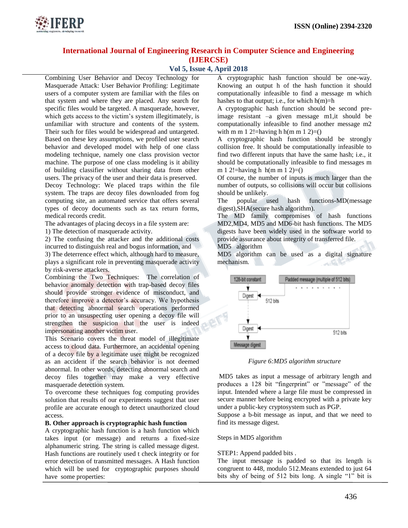

### **Vol 5, Issue 4, April 2018**

Combining User Behavior and Decoy Technology for Masquerade Attack: User Behavior Profiling: Legitimate users of a computer system are familiar with the files on that system and where they are placed. Any search for specific files would be targeted. A masquerade, however, which gets access to the victim's system illegitimately, is unfamiliar with structure and contents of the system. Their such for files would be widespread and untargeted. Based on these key assumptions, we profiled user search behavior and developed model with help of one class modeling technique, namely one class provision vector machine. The purpose of one class modeling is it ability of building classifier without sharing data from other users. The privacy of the user and their data is preserved. Decoy Technology: We placed traps within the file system. The traps are decoy files downloaded from fog computing site, an automated service that offers several

types of decoy documents such as tax return forms, medical records credit.

The advantages of placing decoys in a file system are:

1) The detection of masquerade activity.

2) The confusing the attacker and the additional costs incurred to distinguish real and bogus information, and

3) The deterrence effect which, although hard to measure, plays a significant role in preventing masquerade activity by risk-averse attackers.

Combining the Two Techniques: The correlation of behavior anomaly detection with trap-based decoy files should provide stronger evidence of misconduct, and therefore improve a detector's accuracy. We hypothesis that detecting abnormal search operations performed prior to an unsuspecting user opening a decoy file will strengthen the suspicion that the user is indeed impersonating another victim user.

This Scenario covers the threat model of illegitimate access to cloud data. Furthermore, an accidental opening of a decoy file by a legitimate user might be recognized as an accident if the search behavior is not deemed abnormal. In other words, detecting abnormal search and decoy files together may make a very effective masquerade detection system.

To overcome these techniques fog computing provides solution that results of our experiments suggest that user profile are accurate enough to detect unauthorized cloud access.

#### **B. Other approach is cryptographic hash function**

A cryptographic hash function is a hash function which takes input (or message) and returns a fixed-size alphanumeric string. The string is called message digest. Hash functions are routinely used t check integrity or for error detection of transmitted messages. A Hash function which will be used for cryptographic purposes should have some properties:

A cryptographic hash function should be one-way. Knowing an output h of the hash function it should computationally infeasible to find a message m which hashes to that output; i.e., for which  $h(m)=h$ 

A cryptographic hash function should be second preimage resistant –a given message m1,it should be computationally infeasible to find another message m2 with m m 1 2!=having h h(m m 1 2)=()

A cryptographic hash function should be strongly collision free. It should be computationally infeasible to find two different inputs that have the same hash; i.e., it should be computationally infeasible to find messages m m 1 2!=having h  $h(m m 1 2) = ()$ 

Of course, the number of inputs is much larger than the number of outputs, so collisions will occur but collisions should be unlikely.

The popular used hash functions-MD(message digest),SHA(secure hash algorithm).

The MD family compromises of hash functions MD2,MD4, MD5 and MD6-bit hash functions. The MD5 digests have been widely used in the software world to provide assurance about integrity of transferred file.

MD5 algorithm

MD5 algorithm can be used as a digital signature mechanism.



*Figure 6:MD5 algorithm structure*

MD5 takes as input a message of arbitrary length and produces a 128 bit "fingerprint" or "message" of the input. Intended where a large file must be compressed in secure manner before being encrypted with a private key under a public-key cryptosystem such as PGP.

Suppose a b-bit message as input, and that we need to find its message digest.

Steps in MD5 algorithm

STEP1: Append padded bits .

The input message is padded so that its length is congruent to 448, modulo 512.Means extended to just 64 bits shy of being of 512 bits long. A single "1" bit is